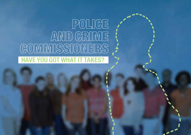## $\begin{tabular}{|c|c|c|c|c|} \hline \textbf{PO} & \textbf{O} & \textbf{CO} \\ \hline \textbf{PO} & \textbf{CO} & \textbf{CO} \\ \hline \textbf{O} & \textbf{O} & \textbf{O} \\ \hline \textbf{O} & \textbf{O} & \textbf{O} \\ \hline \textbf{O} & \textbf{O} & \textbf{O} \\ \hline \textbf{O} & \textbf{O} & \textbf{O} \\ \hline \textbf{O} & \textbf{O} & \textbf{O} \\ \hline \textbf{O} & \textbf{O} & \textbf{O} \\ \hline \textbf{O} &$ AND GRIME GOMMUSSIONERS **HAVE YOU GOT WHAT IT TAKES?**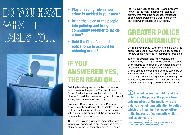# DO YOU HAVE WATH ANT INT TAKES TO...



- **Play a leading role in how crime is tackled in your area?**
- **Bring the voice of the people into policing and bring the community together to tackle crime?**
- **• Hold the Chief Constable and police force to account for reducing crime?**

## IF YOU ANSWERED YES, THEN READ ON…

Policing has always relied on the co-operation and consent of the people. That was true of Robert Peel's time – when the first public minded citizens formed themselves into groups to protect society – and it remains true today.

Police and Crime Commissioners (PCCs) will reinvigorate those democratic principles, ensuring that the public have an elected representative with a duty to the citizen and the welfare of the communities they represent.

The police provide a vital and impartial service to individuals, communities and society as a whole. Men and women of the police put their lives on

the line every day to protect life and property. As well as the many inspirational stories of bravery that make the headlines, thousands of dedicated professionals work hard every day to serve the public and cut crime.

### GREATER POLICE ACCOUNTABILITY

On 15 November 2012, for the first time ever, the public will elect a PCC who will be accountable for how crime is tackled in their police force area.

To provide stronger and more transparent accountability of the police, PCCs will be elected by the public to hold Chief Constables and their forces to account, effectively making the police answerable to the communities they serve. PCCs will be responsible for setting the police force's strategic priorities, cutting crime, appointing and, if necessary, dismissing the Chief Constable, and ensuring that policing is efficient and effective.

**The police are the public and the public are the police; the police being only members of the public who are paid to give full time attention to duties which are incumbent on every citizen in the interests of community welfare and existence.** 

*Sir Robert Peel, Home Secretary who laid the foundations of modern policing, 1829*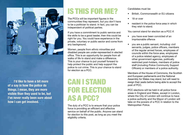

**I'd like to have a bit more of a say in how the police do things. I mean, they are more visible than they used to be, but I've never really been sure about how I can get involved.**

## IS THIS FOR ME?

The PCCs will be important figures in the communities they represent, but you don't have to be a politician to stand. In fact, you can be independent of political parties.

If you have a commitment to public service and the skills to be a good leader, then this could be right for you. You could have experience in the private, voluntary or public sector and come from any background.

Women, people from ethnic minorities and disabled people are under-represented in elected office. This is an opportunity for people from all walks of life to stand and make a difference. This is your chance to put yourself forward to help protect the public and help support the police to cut crime. This is your chance to stand for election as a PCC.

## CAN I STAND FOR ELECTION AS A PCC?

The duty of a PCC is to ensure that your police force is providing an efficient and effective service on behalf of the public. Anyone can stand for election to this post, as long as you meet the eligibility criteria.

Candidates must be:

- British, Commonwealth or EU citizens
- 18 or over
- resident in the police force area in which they wish to stand.

You cannot stand for election as a PCC if:

- vou have ever been convicted of an imprisonable offence
- • you are a public servant, including: civil servants, judges, police officers, members of the regular armed forces, employees of councils within the force area, employees of a police related agency, employees of other government agencies, politically restricted post-holders, members of police staff (including Police Community Support Officers) or members of a police authority.

Members of the House of Commons, the Scottish and European parliaments and the National Assembly for Wales may stand, but will need to resign their seats before being able to accept the post of PCC.

PCC elections will be held in all police force areas in England and Wales, except in London, where the City of London will continue to have a police authority and the Mayor of London will take on the powers of a PCC in relation to the Metropolitan Police.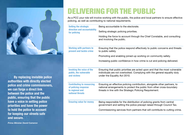

**By replacing invisible police authorities with directly elected police and crime commissioners, we can forge a direct link between the police and the public, ensuring that the public have a voice in setting police priorities and have the power to hold the police to account for keeping our streets safe and secure.**

*Prime Minister David Cameron* 

#### DELIVERING FOR THE PUBLIC

As a PCC your role will involve working with the public, the police and local partners to ensure effective policing, as well as contributing to national requirements.

| <b>Setting the strategic</b><br>direction and accountability<br>for policing                     | Being accountable to the electorate.                                                                                                                                                                           |
|--------------------------------------------------------------------------------------------------|----------------------------------------------------------------------------------------------------------------------------------------------------------------------------------------------------------------|
|                                                                                                  | Setting strategic policing priorities.                                                                                                                                                                         |
|                                                                                                  | Holding the force to account through the Chief Constable, and consulting<br>and involving the public.                                                                                                          |
| <b>Working with partners to</b><br>prevent and tackle crime                                      | Ensuring that the police respond effectively to public concerns and threats<br>to public safety.                                                                                                               |
|                                                                                                  | Promoting and enabling joined-up working on community safety.                                                                                                                                                  |
|                                                                                                  | Increasing public confidence in how crime is cut and policing delivered.                                                                                                                                       |
| <b>Invoking the voice of the</b><br>public, the vulnerable<br>and victims                        | Ensuring that public priorities are acted upon and that the most vulnerable<br>individuals are not overlooked. Complying with the general equality duty<br>under the Equality Act 2010.                        |
| <b>Contributing to resourcing</b><br>of policing response<br>to regional and<br>national threats | Ensuring an effective policing contribution, alongside other partners, to<br>national arrangements to protect the public from other cross-boundary<br>threats in line with the Strategic Policing Requirement. |
| <b>Ensuring value for money</b>                                                                  | Being responsible for the distribution of policing grants from central<br>government and setting the police precept raised through Council Tax.                                                                |
|                                                                                                  | Commissioning services from partners that will contribute to cutting crime.                                                                                                                                    |
|                                                                                                  |                                                                                                                                                                                                                |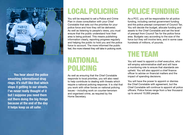

**You hear about the police smashing international drug rings. It's stuff like that which stops it getting to our streets. I've never really thought of it but I suppose you need them out there doing the big things because at the end of the day it helps keep us all safer.**

## LOCAL POLICING

You will be required to set a Police and Crime Plan in close consultation with your Chief Constable that sets out the priorities for your police force and how they will be delivered. As well as listening to people's views, you must ensure that the public understand how their area is being policed. This means publishing information clearly, reporting progress regularly and helping the public to hold you and the police force to account. The more informed the public feel, the more interest they will take in policing work.

#### NATIONAL POLICING

As well as ensuring that the Chief Constable responds to local priorities, you will also need to help contribute to dealing with threats which require a national policing response. It is vital that you work with other forces on national policing issues – including work on counter-terrorism and organised crime, as required by the Home Secretary.

## POLICE FUNDING

As a PCC, you will be responsible for all police funding, including central government funding and the police precept component of Council Tax. You will decide the budget, allocate funding and assets to the Chief Constable and set the level of precept from Council Tax for the police force area. Budgets vary according to the size of the force but they will involve tens, and in some case hundreds of millions, of pounds.

#### THE TEAM

You will need to appoint a chief executive, who will employ administrative staff and will have a monitoring role to ensure that standards are upheld. You will also appoint a chief finance officer to advise on financial matters and the impact of spending decisions.

You will have the power to appoint or dismiss the Chief Constable with agreement, but the Chief Constable will continue to appoint all police officers. Police forces range from a few thousand up to around 10,000 people.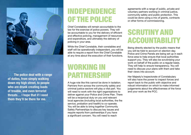

**The police deal with a range of duties, from simply walking down my high street, to people who are drunk creating loads of trouble, and even terrorist threats… I hope that if I need them they'll be there for me.**

### INDEPENDENCE OF THE POLICE

Chief Constables will remain accountable to the law for the exercise of police powers. They will be accountable to you for the delivery of efficient and effective policing, management of resources and expenditure, and ultimately the delivery of policing in your area.

While the Chief Constable, their constables and staff will be operationally independent, you will be able to require a report from the Chief Constable at any time about the execution of their functions.

#### WORKING IN PARTNERSHIP

A huge role like this cannot be done in isolation. Partners from across the community safety and criminal justice sectors will play a vital part. You will need to work with the right organisations to deliver against your Police and Crime Plan. There will be a reciprocal duty on you and relevant local agencies (including local authorities, the fire service, probation and health) to co-operate. You will be able to bring together Community Safety Partnerships to discuss key issues and require reports from partnerships if you have a significant concern. You will need to reach

agreements with a range of public, private and voluntary partners working in criminal justice, community safety and public protection. This could be done using a mix of grants, contracts or other forms of commissioning.

### **SCRUTINY AND** ACCOUNTABILITY

Being directly elected by the public means that you will be held to account on election day. Police and Crime Panels are being set up in each force area to help ensure that local authorities support you. They will also be scrutinising your work on behalf of the public on a regular basis. They will help to ensure transparency. You will need to discuss your plans with them and take their views into account.

Her Majesty's Inspectorate of Constabulary will also have the power to inspect forces and report back to the public with objective and robust information on which to make informed judgements about the effectiveness of the force and your work as the PCC.